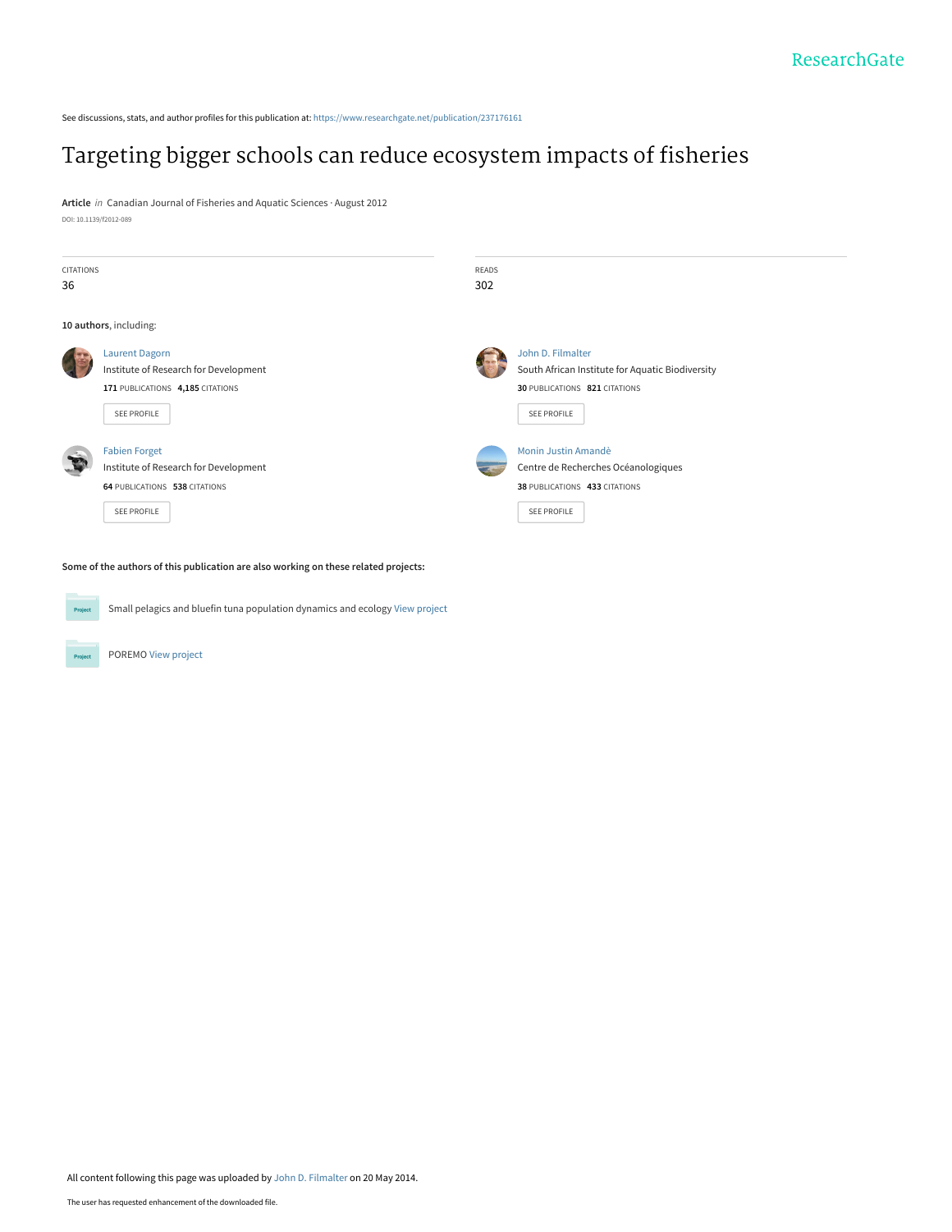See discussions, stats, and author profiles for this publication at: [https://www.researchgate.net/publication/237176161](https://www.researchgate.net/publication/237176161_Targeting_bigger_schools_can_reduce_ecosystem_impacts_of_fisheries?enrichId=rgreq-4114896d27fd9f1e62bb0c36c9a42c39-XXX&enrichSource=Y292ZXJQYWdlOzIzNzE3NjE2MTtBUzo5ODcxMDIwNTc2MzYwMkAxNDAwNTQ1NzU1ODI5&el=1_x_2&_esc=publicationCoverPdf)

## [Targeting bigger schools can reduce ecosystem impacts of fisheries](https://www.researchgate.net/publication/237176161_Targeting_bigger_schools_can_reduce_ecosystem_impacts_of_fisheries?enrichId=rgreq-4114896d27fd9f1e62bb0c36c9a42c39-XXX&enrichSource=Y292ZXJQYWdlOzIzNzE3NjE2MTtBUzo5ODcxMDIwNTc2MzYwMkAxNDAwNTQ1NzU1ODI5&el=1_x_3&_esc=publicationCoverPdf)

**Article** in Canadian Journal of Fisheries and Aquatic Sciences · August 2012 DOI: 10.1139/f2012-089



**Some of the authors of this publication are also working on these related projects:**



Proj

Small pelagics and bluefin tuna population dynamics and ecology [View project](https://www.researchgate.net/project/Small-pelagics-and-bluefin-tuna-population-dynamics-and-ecology?enrichId=rgreq-4114896d27fd9f1e62bb0c36c9a42c39-XXX&enrichSource=Y292ZXJQYWdlOzIzNzE3NjE2MTtBUzo5ODcxMDIwNTc2MzYwMkAxNDAwNTQ1NzU1ODI5&el=1_x_9&_esc=publicationCoverPdf)

POREMO [View project](https://www.researchgate.net/project/POREMO?enrichId=rgreq-4114896d27fd9f1e62bb0c36c9a42c39-XXX&enrichSource=Y292ZXJQYWdlOzIzNzE3NjE2MTtBUzo5ODcxMDIwNTc2MzYwMkAxNDAwNTQ1NzU1ODI5&el=1_x_9&_esc=publicationCoverPdf)

All content following this page was uploaded by [John D. Filmalter](https://www.researchgate.net/profile/John-Filmalter?enrichId=rgreq-4114896d27fd9f1e62bb0c36c9a42c39-XXX&enrichSource=Y292ZXJQYWdlOzIzNzE3NjE2MTtBUzo5ODcxMDIwNTc2MzYwMkAxNDAwNTQ1NzU1ODI5&el=1_x_10&_esc=publicationCoverPdf) on 20 May 2014.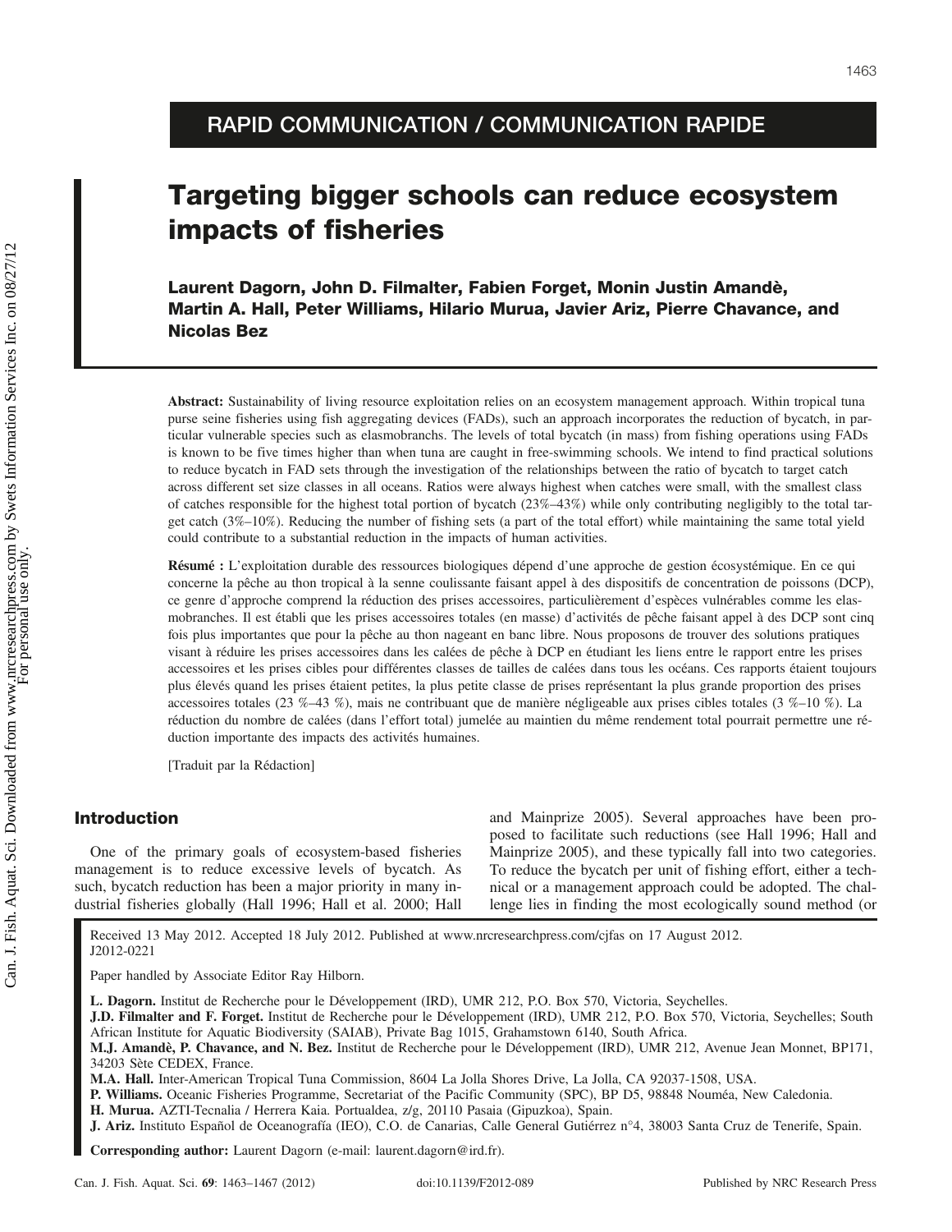### RAPID COMMUNICATION / COMMUNICATION RAPIDE

# Targeting bigger schools can reduce ecosystem impacts of fisheries

Laurent Dagorn, John D. Filmalter, Fabien Forget, Monin Justin Amandè, Martin A. Hall, Peter Williams, Hilario Murua, Javier Ariz, Pierre Chavance, and Nicolas Bez

Abstract: Sustainability of living resource exploitation relies on an ecosystem management approach. Within tropical tuna purse seine fisheries using fish aggregating devices (FADs), such an approach incorporates the reduction of bycatch, in particular vulnerable species such as elasmobranchs. The levels of total bycatch (in mass) from fishing operations using FADs is known to be five times higher than when tuna are caught in free-swimming schools. We intend to find practical solutions to reduce bycatch in FAD sets through the investigation of the relationships between the ratio of bycatch to target catch across different set size classes in all oceans. Ratios were always highest when catches were small, with the smallest class of catches responsible for the highest total portion of bycatch (23%–43%) while only contributing negligibly to the total target catch (3%–10%). Reducing the number of fishing sets (a part of the total effort) while maintaining the same total yield could contribute to a substantial reduction in the impacts of human activities.

Résumé : L'exploitation durable des ressources biologiques dépend d'une approche de gestion écosystémique. En ce qui concerne la pêche au thon tropical à la senne coulissante faisant appel à des dispositifs de concentration de poissons (DCP), ce genre d'approche comprend la réduction des prises accessoires, particulièrement d'espèces vulnérables comme les elasmobranches. Il est établi que les prises accessoires totales (en masse) d'activités de pêche faisant appel à des DCP sont cinq fois plus importantes que pour la pêche au thon nageant en banc libre. Nous proposons de trouver des solutions pratiques visant à réduire les prises accessoires dans les calées de pêche à DCP en étudiant les liens entre le rapport entre les prises accessoires et les prises cibles pour différentes classes de tailles de calées dans tous les océans. Ces rapports étaient toujours plus élevés quand les prises étaient petites, la plus petite classe de prises représentant la plus grande proportion des prises accessoires totales (23 %–43 %), mais ne contribuant que de manière négligeable aux prises cibles totales (3 %–10 %). La réduction du nombre de calées (dans l'effort total) jumelée au maintien du même rendement total pourrait permettre une réduction importante des impacts des activités humaines.

[Traduit par la Rédaction]

#### Introduction

One of the primary goals of ecosystem-based fisheries management is to reduce excessive levels of bycatch. As such, bycatch reduction has been a major priority in many industrial fisheries globally (Hall 1996; Hall et al. 2000; Hall and Mainprize 2005). Several approaches have been proposed to facilitate such reductions (see Hall 1996; Hall and Mainprize 2005), and these typically fall into two categories. To reduce the bycatch per unit of fishing effort, either a technical or a management approach could be adopted. The challenge lies in finding the most ecologically sound method (or

Received 13 May 2012. Accepted 18 July 2012. Published at www.nrcresearchpress.com/cjfas on 17 August 2012. J2012-0221

Paper handled by Associate Editor Ray Hilborn.

L. Dagorn. Institut de Recherche pour le Développement (IRD), UMR 212, P.O. Box 570, Victoria, Seychelles.

J.D. Filmalter and F. Forget. Institut de Recherche pour le Développement (IRD), UMR 212, P.O. Box 570, Victoria, Seychelles; South African Institute for Aquatic Biodiversity (SAIAB), Private Bag 1015, Grahamstown 6140, South Africa.

M.J. Amandè, P. Chavance, and N. Bez. Institut de Recherche pour le Développement (IRD), UMR 212, Avenue Jean Monnet, BP171, 34203 Sète CEDEX, France.

M.A. Hall. Inter-American Tropical Tuna Commission, 8604 La Jolla Shores Drive, La Jolla, CA 92037-1508, USA.

P. Williams. Oceanic Fisheries Programme, Secretariat of the Pacific Community (SPC), BP D5, 98848 Nouméa, New Caledonia. H. Murua. AZTI-Tecnalia / Herrera Kaia. Portualdea, z/g, 20110 Pasaia (Gipuzkoa), Spain.

J. Ariz. Instituto Español de Oceanografía (IEO), C.O. de Canarias, Calle General Gutiérrez n°4, 38003 Santa Cruz de Tenerife, Spain.

Corresponding author: Laurent Dagorn (e-mail: laurent.dagorn@ird.fr).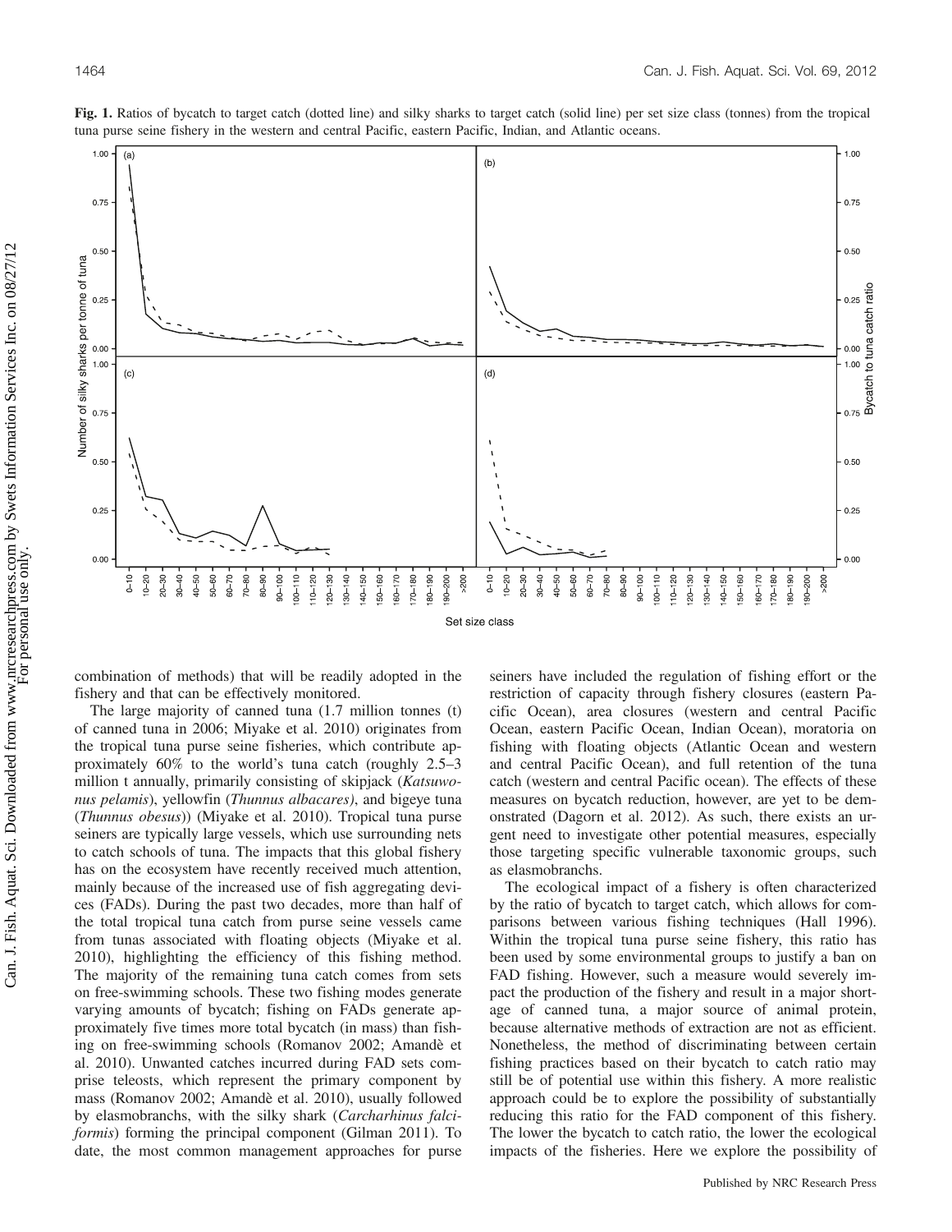

Fig. 1. Ratios of bycatch to target catch (dotted line) and silky sharks to target catch (solid line) per set size class (tonnes) from the tropical tuna purse seine fishery in the western and central Pacific, eastern Pacific, Indian, and Atlantic oceans.

combination of methods) that will be readily adopted in the fishery and that can be effectively monitored.

The large majority of canned tuna (1.7 million tonnes (t) of canned tuna in 2006; Miyake et al. 2010) originates from the tropical tuna purse seine fisheries, which contribute approximately 60% to the world's tuna catch (roughly 2.5–3 million t annually, primarily consisting of skipjack (Katsuwonus pelamis), yellowfin (Thunnus albacares), and bigeye tuna (Thunnus obesus)) (Miyake et al. 2010). Tropical tuna purse seiners are typically large vessels, which use surrounding nets to catch schools of tuna. The impacts that this global fishery has on the ecosystem have recently received much attention, mainly because of the increased use of fish aggregating devices (FADs). During the past two decades, more than half of the total tropical tuna catch from purse seine vessels came from tunas associated with floating objects (Miyake et al. 2010), highlighting the efficiency of this fishing method. The majority of the remaining tuna catch comes from sets on free-swimming schools. These two fishing modes generate varying amounts of bycatch; fishing on FADs generate approximately five times more total bycatch (in mass) than fishing on free-swimming schools (Romanov 2002; Amandè et al. 2010). Unwanted catches incurred during FAD sets comprise teleosts, which represent the primary component by mass (Romanov 2002; Amandè et al. 2010), usually followed by elasmobranchs, with the silky shark (Carcharhinus falciformis) forming the principal component (Gilman 2011). To date, the most common management approaches for purse seiners have included the regulation of fishing effort or the restriction of capacity through fishery closures (eastern Pacific Ocean), area closures (western and central Pacific Ocean, eastern Pacific Ocean, Indian Ocean), moratoria on fishing with floating objects (Atlantic Ocean and western and central Pacific Ocean), and full retention of the tuna catch (western and central Pacific ocean). The effects of these measures on bycatch reduction, however, are yet to be demonstrated (Dagorn et al. 2012). As such, there exists an urgent need to investigate other potential measures, especially those targeting specific vulnerable taxonomic groups, such as elasmobranchs.

The ecological impact of a fishery is often characterized by the ratio of bycatch to target catch, which allows for comparisons between various fishing techniques (Hall 1996). Within the tropical tuna purse seine fishery, this ratio has been used by some environmental groups to justify a ban on FAD fishing. However, such a measure would severely impact the production of the fishery and result in a major shortage of canned tuna, a major source of animal protein, because alternative methods of extraction are not as efficient. Nonetheless, the method of discriminating between certain fishing practices based on their bycatch to catch ratio may still be of potential use within this fishery. A more realistic approach could be to explore the possibility of substantially reducing this ratio for the FAD component of this fishery. The lower the bycatch to catch ratio, the lower the ecological impacts of the fisheries. Here we explore the possibility of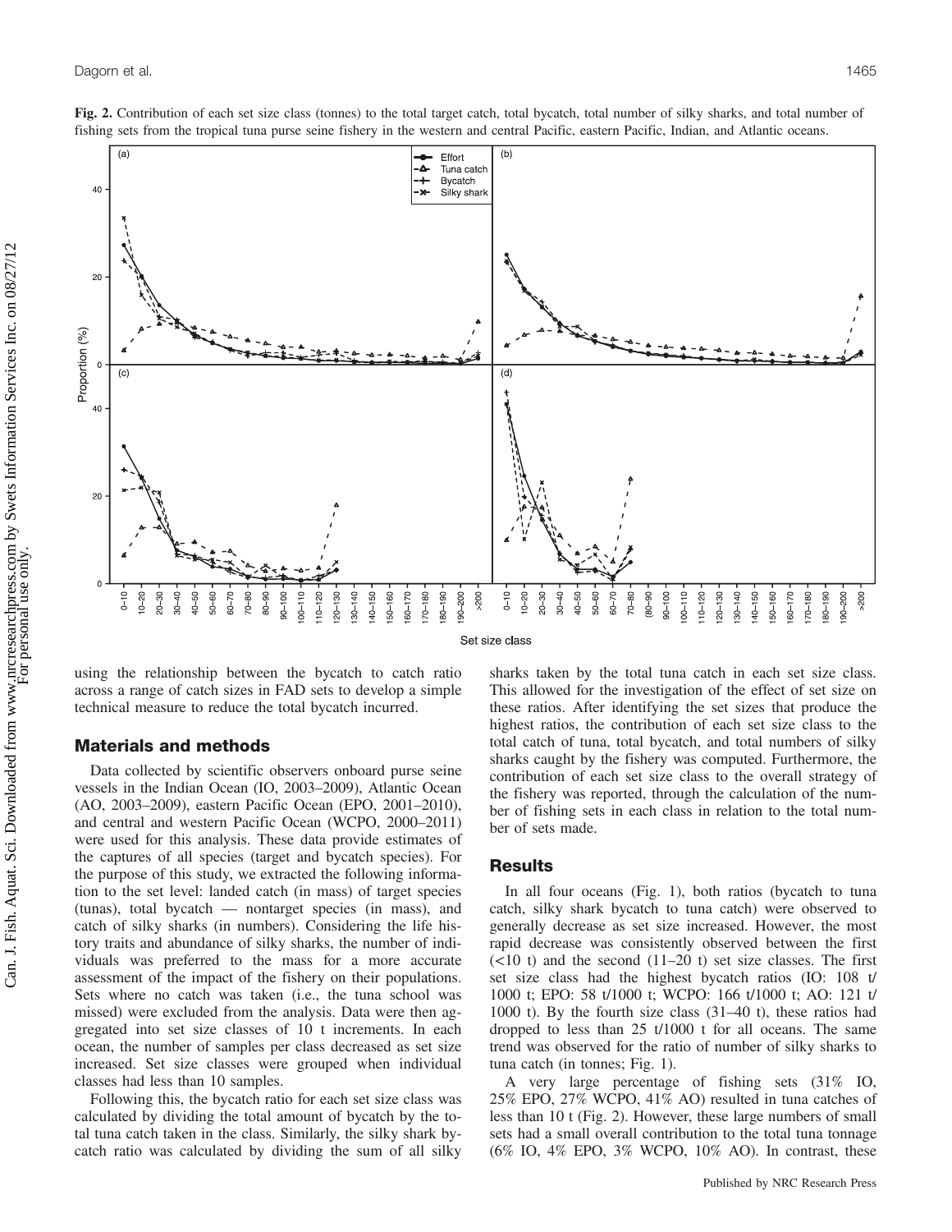Proportion (%)



Fig. 2. Contribution of each set size class (tonnes) to the total target catch, total bycatch, total number of silky sharks, and total number of fishing sets from the tropical tuna purse seine fishery in the western and central Pacific, eastern Pacific, Indian, and Atlantic oceans.

using the relationship between the bycatch to catch ratio across a range of catch sizes in FAD sets to develop a simple technical measure to reduce the total bycatch incurred.

#### Materials and methods

Data collected by scientific observers onboard purse seine vessels in the Indian Ocean (IO, 2003–2009), Atlantic Ocean (AO, 2003–2009), eastern Pacific Ocean (EPO, 2001–2010), and central and western Pacific Ocean (WCPO, 2000–2011) were used for this analysis. These data provide estimates of the captures of all species (target and bycatch species). For the purpose of this study, we extracted the following information to the set level: landed catch (in mass) of target species (tunas), total bycatch — nontarget species (in mass), and catch of silky sharks (in numbers). Considering the life history traits and abundance of silky sharks, the number of individuals was preferred to the mass for a more accurate assessment of the impact of the fishery on their populations. Sets where no catch was taken (i.e., the tuna school was missed) were excluded from the analysis. Data were then aggregated into set size classes of 10 t increments. In each ocean, the number of samples per class decreased as set size increased. Set size classes were grouped when individual classes had less than 10 samples.

Following this, the bycatch ratio for each set size class was calculated by dividing the total amount of bycatch by the total tuna catch taken in the class. Similarly, the silky shark bycatch ratio was calculated by dividing the sum of all silky sharks taken by the total tuna catch in each set size class. This allowed for the investigation of the effect of set size on these ratios. After identifying the set sizes that produce the highest ratios, the contribution of each set size class to the total catch of tuna, total bycatch, and total numbers of silky sharks caught by the fishery was computed. Furthermore, the contribution of each set size class to the overall strategy of the fishery was reported, through the calculation of the number of fishing sets in each class in relation to the total number of sets made.

#### Results

In all four oceans (Fig. 1), both ratios (bycatch to tuna catch, silky shark bycatch to tuna catch) were observed to generally decrease as set size increased. However, the most rapid decrease was consistently observed between the first  $(<10$  t) and the second  $(11–20$  t) set size classes. The first set size class had the highest bycatch ratios (IO: 108 t/ 1000 t; EPO: 58 t/1000 t; WCPO: 166 t/1000 t; AO: 121 t/ 1000 t). By the fourth size class (31–40 t), these ratios had dropped to less than 25 t/1000 t for all oceans. The same trend was observed for the ratio of number of silky sharks to tuna catch (in tonnes; Fig. 1).

A very large percentage of fishing sets (31% IO, 25% EPO, 27% WCPO, 41% AO) resulted in tuna catches of less than 10 t (Fig. 2). However, these large numbers of small sets had a small overall contribution to the total tuna tonnage (6% IO, 4% EPO, 3% WCPO, 10% AO). In contrast, these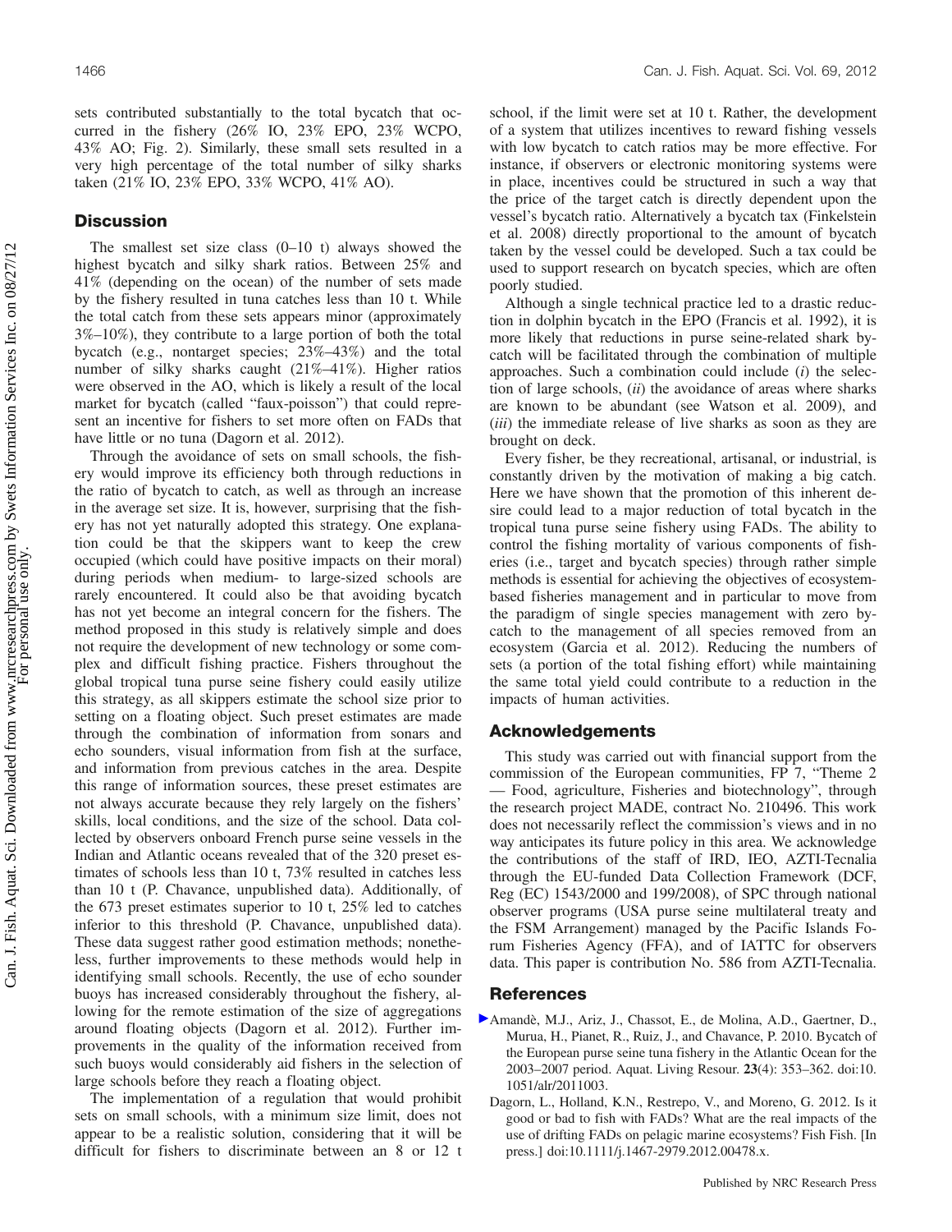sets contributed substantially to the total bycatch that occurred in the fishery (26% IO, 23% EPO, 23% WCPO, 43% AO; Fig. 2). Similarly, these small sets resulted in a very high percentage of the total number of silky sharks taken (21% IO, 23% EPO, 33% WCPO, 41% AO).

#### **Discussion**

The smallest set size class  $(0-10)$  t) always showed the highest bycatch and silky shark ratios. Between 25% and 41% (depending on the ocean) of the number of sets made by the fishery resulted in tuna catches less than 10 t. While the total catch from these sets appears minor (approximately 3%–10%), they contribute to a large portion of both the total bycatch (e.g., nontarget species; 23%–43%) and the total number of silky sharks caught (21%–41%). Higher ratios were observed in the AO, which is likely a result of the local market for bycatch (called "faux-poisson") that could represent an incentive for fishers to set more often on FADs that have little or no tuna (Dagorn et al. 2012).

Through the avoidance of sets on small schools, the fishery would improve its efficiency both through reductions in the ratio of bycatch to catch, as well as through an increase in the average set size. It is, however, surprising that the fishery has not yet naturally adopted this strategy. One explanation could be that the skippers want to keep the crew occupied (which could have positive impacts on their moral) during periods when medium- to large-sized schools are rarely encountered. It could also be that avoiding bycatch has not yet become an integral concern for the fishers. The method proposed in this study is relatively simple and does not require the development of new technology or some complex and difficult fishing practice. Fishers throughout the global tropical tuna purse seine fishery could easily utilize this strategy, as all skippers estimate the school size prior to setting on a floating object. Such preset estimates are made through the combination of information from sonars and echo sounders, visual information from fish at the surface, and information from previous catches in the area. Despite this range of information sources, these preset estimates are not always accurate because they rely largely on the fishers' skills, local conditions, and the size of the school. Data collected by observers onboard French purse seine vessels in the Indian and Atlantic oceans revealed that of the 320 preset estimates of schools less than 10 t, 73% resulted in catches less than 10 t (P. Chavance, unpublished data). Additionally, of the 673 preset estimates superior to 10 t, 25% led to catches inferior to this threshold (P. Chavance, unpublished data). These data suggest rather good estimation methods; nonetheless, further improvements to these methods would help in identifying small schools. Recently, the use of echo sounder buoys has increased considerably throughout the fishery, allowing for the remote estimation of the size of aggregations around floating objects (Dagorn et al. 2012). Further improvements in the quality of the information received from such buoys would considerably aid fishers in the selection of large schools before they reach a floating object.

The implementation of a regulation that would prohibit sets on small schools, with a minimum size limit, does not appear to be a realistic solution, considering that it will be difficult for fishers to discriminate between an 8 or 12 t school, if the limit were set at 10 t. Rather, the development of a system that utilizes incentives to reward fishing vessels with low bycatch to catch ratios may be more effective. For instance, if observers or electronic monitoring systems were in place, incentives could be structured in such a way that the price of the target catch is directly dependent upon the vessel's bycatch ratio. Alternatively a bycatch tax (Finkelstein et al. 2008) directly proportional to the amount of bycatch taken by the vessel could be developed. Such a tax could be used to support research on bycatch species, which are often poorly studied.

Although a single technical practice led to a drastic reduction in dolphin bycatch in the EPO (Francis et al. 1992), it is more likely that reductions in purse seine-related shark bycatch will be facilitated through the combination of multiple approaches. Such a combination could include  $(i)$  the selection of large schools,  $(ii)$  the avoidance of areas where sharks are known to be abundant (see Watson et al. 2009), and (*iii*) the immediate release of live sharks as soon as they are brought on deck.

Every fisher, be they recreational, artisanal, or industrial, is constantly driven by the motivation of making a big catch. Here we have shown that the promotion of this inherent desire could lead to a major reduction of total bycatch in the tropical tuna purse seine fishery using FADs. The ability to control the fishing mortality of various components of fisheries (i.e., target and bycatch species) through rather simple methods is essential for achieving the objectives of ecosystembased fisheries management and in particular to move from the paradigm of single species management with zero bycatch to the management of all species removed from an ecosystem (Garcia et al. 2012). Reducing the numbers of sets (a portion of the total fishing effort) while maintaining the same total yield could contribute to a reduction in the impacts of human activities.

#### Acknowledgements

This study was carried out with financial support from the commission of the European communities, FP 7, "Theme 2 — Food, agriculture, Fisheries and biotechnology", through the research project MADE, contract No. 210496. This work does not necessarily reflect the commission's views and in no way anticipates its future policy in this area. We acknowledge the contributions of the staff of IRD, IEO, AZTI-Tecnalia through the EU-funded Data Collection Framework (DCF, Reg (EC) 1543/2000 and 199/2008), of SPC through national observer programs (USA purse seine multilateral treaty and the FSM Arrangement) managed by the Pacific Islands Forum Fisheries Agency (FFA), and of IATTC for observers data. This paper is contribution No. 586 from AZTI-Tecnalia.

#### **References**

- Amandè, M.J., Ariz, J., Chassot, E., de Molina, A.D., Gaertner, D., Murua, H., Pianet, R., Ruiz, J., and Chavance, P. 2010. Bycatch of the European purse seine tuna fishery in the Atlantic Ocean for the 2003–2007 period. Aquat. Living Resour. 23(4): 353–362. doi:10. 1051/alr/2011003.
- Dagorn, L., Holland, K.N., Restrepo, V., and Moreno, G. 2012. Is it good or bad to fish with FADs? What are the real impacts of the use of drifting FADs on pelagic marine ecosystems? Fish Fish. [In press.] doi:10.1111/j.1467-2979.2012.00478.x.